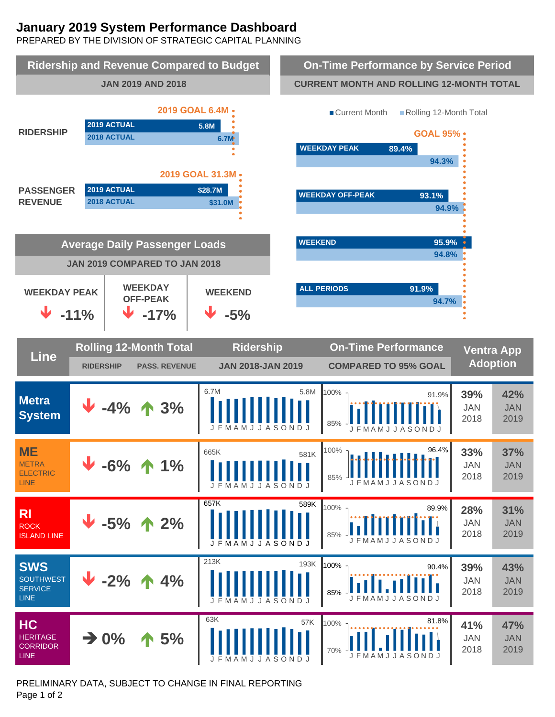# **January 2019 System Performance Dashboard**

PREPARED BY THE DIVISION OF STRATEGIC CAPITAL PLANNING



PRELIMINARY DATA, SUBJECT TO CHANGE IN FINAL REPORTING Page 1 of 2